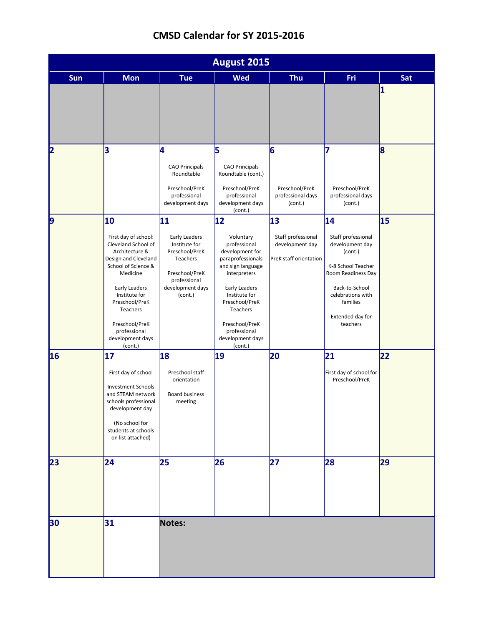|  | CMSD Calendar for SY 2015-2016 |  |  |
|--|--------------------------------|--|--|
|--|--------------------------------|--|--|

| August 2015 |                                                                                                                                                                                                                                                                 |                                                                                                                                            |                                                                                                                                                                                                                                               |                                                                       |                                                                                                                                                                                       |                         |  |
|-------------|-----------------------------------------------------------------------------------------------------------------------------------------------------------------------------------------------------------------------------------------------------------------|--------------------------------------------------------------------------------------------------------------------------------------------|-----------------------------------------------------------------------------------------------------------------------------------------------------------------------------------------------------------------------------------------------|-----------------------------------------------------------------------|---------------------------------------------------------------------------------------------------------------------------------------------------------------------------------------|-------------------------|--|
| <b>Sun</b>  | <b>Mon</b>                                                                                                                                                                                                                                                      | <b>Tue</b>                                                                                                                                 | <b>Wed</b>                                                                                                                                                                                                                                    | <b>Thu</b>                                                            | Fri                                                                                                                                                                                   | Sat                     |  |
|             |                                                                                                                                                                                                                                                                 |                                                                                                                                            |                                                                                                                                                                                                                                               |                                                                       |                                                                                                                                                                                       | $\overline{\mathbf{1}}$ |  |
| 2           | 3                                                                                                                                                                                                                                                               | 4<br><b>CAO Principals</b><br>Roundtable<br>Preschool/PreK<br>professional<br>development days                                             | 5<br><b>CAO Principals</b><br>Roundtable (cont.)<br>Preschool/PreK<br>professional<br>development days<br>(cont.)                                                                                                                             | 6<br>Preschool/PreK<br>professional days<br>(cont.)                   | 17<br>Preschool/PreK<br>professional days<br>(cont.)                                                                                                                                  | 8                       |  |
| 9           | 10<br>First day of school:<br>Cleveland School of<br>Architecture &<br>Design and Cleveland<br>School of Science &<br>Medicine<br>Early Leaders<br>Institute for<br>Preschool/PreK<br>Teachers<br>Preschool/PreK<br>professional<br>development days<br>(cont.) | 11<br>Early Leaders<br>Institute for<br>Preschool/PreK<br><b>Teachers</b><br>Preschool/PreK<br>professional<br>development days<br>(cont.) | 12<br>Voluntary<br>professional<br>development for<br>paraprofessionals<br>and sign language<br>interpreters<br>Early Leaders<br>Institute for<br>Preschool/PreK<br>Teachers<br>Preschool/PreK<br>professional<br>development days<br>(cont.) | 13<br>Staff professional<br>development day<br>PreK staff orientation | 14<br>Staff professional<br>development day<br>(cont.)<br>K-8 School Teacher<br>Room Readiness Day<br>Back-to-School<br>celebrations with<br>families<br>Extended day for<br>teachers | 15                      |  |
| 16          | 17<br>First day of school<br><b>Investment Schools</b><br>and STEAM network<br>schools professional<br>development day<br>(No school for<br>students at schools<br>on list attached)                                                                            | 18<br>Preschool staff<br>orientation<br><b>Board business</b><br>meeting                                                                   | 19                                                                                                                                                                                                                                            | 20                                                                    | 21<br>First day of school for<br>Preschool/PreK                                                                                                                                       | 22                      |  |
| 23          | 24                                                                                                                                                                                                                                                              | 25                                                                                                                                         | 26                                                                                                                                                                                                                                            | 27                                                                    | 28                                                                                                                                                                                    | 29                      |  |
| 30          | 31                                                                                                                                                                                                                                                              | Notes:                                                                                                                                     |                                                                                                                                                                                                                                               |                                                                       |                                                                                                                                                                                       |                         |  |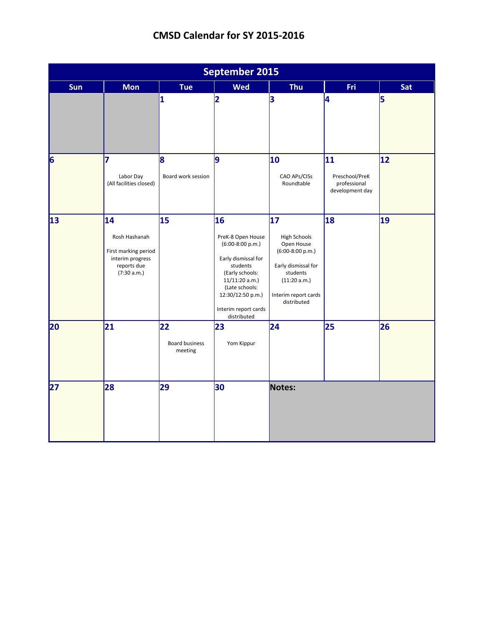|     | <b>September 2015</b>                                                                         |                                 |                                                                                                                                                                                                     |                                                                                                                                                                      |                                                         |              |  |  |
|-----|-----------------------------------------------------------------------------------------------|---------------------------------|-----------------------------------------------------------------------------------------------------------------------------------------------------------------------------------------------------|----------------------------------------------------------------------------------------------------------------------------------------------------------------------|---------------------------------------------------------|--------------|--|--|
| Sun | <b>Mon</b>                                                                                    | Tue                             | <b>Wed</b>                                                                                                                                                                                          | <b>Thu</b>                                                                                                                                                           | <b>Fri</b>                                              | Sat          |  |  |
|     |                                                                                               | $\overline{\mathbf{1}}$         | 2                                                                                                                                                                                                   | 3                                                                                                                                                                    | 4                                                       | 5            |  |  |
| 6   | 7<br>Labor Day<br>(All facilities closed)                                                     | 8<br>Board work session         | 9                                                                                                                                                                                                   | 10<br>CAO APs/CISs<br>Roundtable                                                                                                                                     | 11<br>Preschool/PreK<br>professional<br>development day | $ 12\rangle$ |  |  |
| 13  | 14<br>Rosh Hashanah<br>First marking period<br>interim progress<br>reports due<br>(7:30 a.m.) | 15                              | 16<br>PreK-8 Open House<br>$(6:00-8:00 p.m.)$<br>Early dismissal for<br>students<br>(Early schools:<br>11/11:20 a.m.)<br>(Late schools:<br>12:30/12:50 p.m.)<br>Interim report cards<br>distributed | $\overline{17}$<br><b>High Schools</b><br>Open House<br>$(6:00-8:00 p.m.)$<br>Early dismissal for<br>students<br>(11:20 a.m.)<br>Interim report cards<br>distributed | 18                                                      | 19           |  |  |
| 20  | 21                                                                                            | 22<br>Board business<br>meeting | 23<br>Yom Kippur                                                                                                                                                                                    | 24                                                                                                                                                                   | 25                                                      | 26           |  |  |
| 27  | 28                                                                                            | 29                              | 30                                                                                                                                                                                                  | Notes:                                                                                                                                                               |                                                         |              |  |  |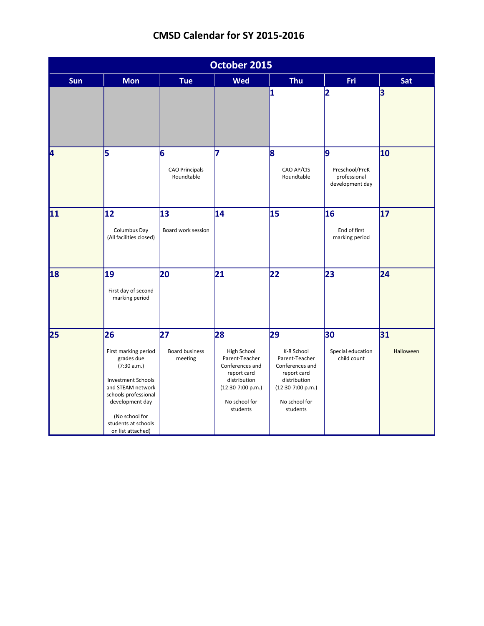|  | CMSD Calendar for SY 2015-2016 |
|--|--------------------------------|
|--|--------------------------------|

|     | October 2015                                                                                                                                                                                                       |                                          |                                                                                                                                           |                                                                                                                                          |                                                        |                 |  |  |
|-----|--------------------------------------------------------------------------------------------------------------------------------------------------------------------------------------------------------------------|------------------------------------------|-------------------------------------------------------------------------------------------------------------------------------------------|------------------------------------------------------------------------------------------------------------------------------------------|--------------------------------------------------------|-----------------|--|--|
| Sun | <b>Mon</b>                                                                                                                                                                                                         | <b>Tue</b>                               | <b>Wed</b>                                                                                                                                | <b>Thu</b>                                                                                                                               | Fri                                                    | Sat             |  |  |
|     |                                                                                                                                                                                                                    |                                          |                                                                                                                                           | $\overline{\mathbf{1}}$                                                                                                                  | $\overline{\mathbf{2}}$                                | 3               |  |  |
| 4   | 5                                                                                                                                                                                                                  | 6<br><b>CAO Principals</b><br>Roundtable | 7                                                                                                                                         | 8<br>CAO AP/CIS<br>Roundtable                                                                                                            | 9<br>Preschool/PreK<br>professional<br>development day | 10              |  |  |
| 11  | 12<br>Columbus Day<br>(All facilities closed)                                                                                                                                                                      | 13<br>Board work session                 | 14                                                                                                                                        | 15                                                                                                                                       | 16<br>End of first<br>marking period                   | 17              |  |  |
| 18  | 19<br>First day of second<br>marking period                                                                                                                                                                        | 20                                       | 21                                                                                                                                        | 22                                                                                                                                       | 23                                                     | 24              |  |  |
| 25  | 26<br>First marking period<br>grades due<br>(7:30 a.m.)<br><b>Investment Schools</b><br>and STEAM network<br>schools professional<br>development day<br>(No school for<br>students at schools<br>on list attached) | 27<br><b>Board business</b><br>meeting   | 28<br>High School<br>Parent-Teacher<br>Conferences and<br>report card<br>distribution<br>$(12:30-7:00 p.m.)$<br>No school for<br>students | 29<br>K-8 School<br>Parent-Teacher<br>Conferences and<br>report card<br>distribution<br>$(12:30-7:00 p.m.)$<br>No school for<br>students | 30<br>Special education<br>child count                 | 31<br>Halloween |  |  |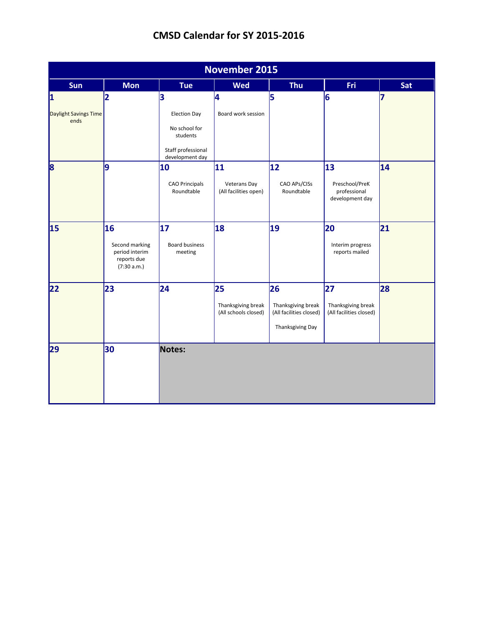|                               | <b>November 2015</b>                                                 |                                                                        |                                                  |                                                                         |                                                     |     |  |  |  |
|-------------------------------|----------------------------------------------------------------------|------------------------------------------------------------------------|--------------------------------------------------|-------------------------------------------------------------------------|-----------------------------------------------------|-----|--|--|--|
| Sun                           | <b>Mon</b>                                                           | Tue                                                                    | <b>Wed</b>                                       | <b>Thu</b>                                                              | <b>Fri</b>                                          | Sat |  |  |  |
| 1                             | 2                                                                    | 3                                                                      | 4                                                | 5                                                                       | 6                                                   | 7   |  |  |  |
| Daylight Savings Time<br>ends |                                                                      | <b>Election Day</b><br>No school for<br>students<br>Staff professional | Board work session                               |                                                                         |                                                     |     |  |  |  |
| 8                             | 9                                                                    | development day<br>10                                                  | 11                                               | 12                                                                      | 13                                                  | 14  |  |  |  |
|                               |                                                                      | <b>CAO Principals</b><br>Roundtable                                    | <b>Veterans Day</b><br>(All facilities open)     | CAO APs/CISs<br>Roundtable                                              | Preschool/PreK<br>professional<br>development day   |     |  |  |  |
| 15                            | 16<br>Second marking<br>period interim<br>reports due<br>(7:30 a.m.) | 17<br><b>Board business</b><br>meeting                                 | 18                                               | 19                                                                      | 20<br>Interim progress<br>reports mailed            | 21  |  |  |  |
| 22                            | 23                                                                   | 24                                                                     | 25<br>Thanksgiving break<br>(All schools closed) | 26<br>Thanksgiving break<br>(All facilities closed)<br>Thanksgiving Day | 27<br>Thanksgiving break<br>(All facilities closed) | 28  |  |  |  |
| 29                            | 30                                                                   | Notes:                                                                 |                                                  |                                                                         |                                                     |     |  |  |  |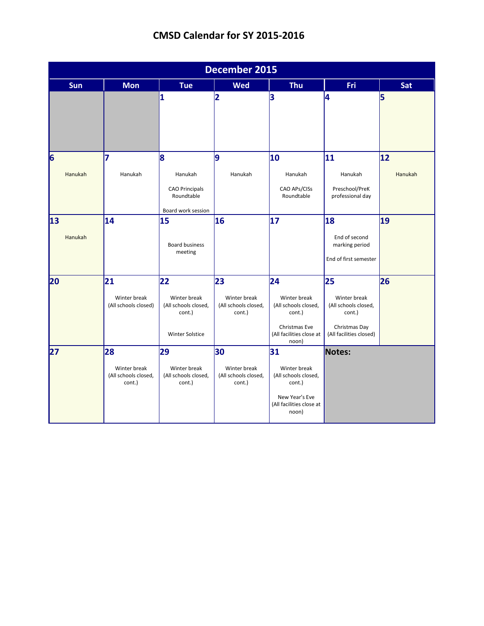|            | <b>December 2015</b>                                 |                                                                      |                                                      |                                                                        |                                                                 |         |  |  |
|------------|------------------------------------------------------|----------------------------------------------------------------------|------------------------------------------------------|------------------------------------------------------------------------|-----------------------------------------------------------------|---------|--|--|
| <b>Sun</b> | <b>Mon</b>                                           | <b>Tue</b>                                                           | <b>Wed</b>                                           | <b>Thu</b>                                                             | Fri                                                             | Sat     |  |  |
|            |                                                      | 1                                                                    | $\overline{\mathbf{2}}$                              | 3                                                                      | 4                                                               | 5       |  |  |
| 6          | 7                                                    | 8                                                                    | 9                                                    | 10                                                                     | 11                                                              | 12      |  |  |
| Hanukah    | Hanukah                                              | Hanukah<br><b>CAO Principals</b><br>Roundtable<br>Board work session | Hanukah                                              | Hanukah<br>CAO APs/CISs<br>Roundtable                                  | Hanukah<br>Preschool/PreK<br>professional day                   | Hanukah |  |  |
| 13         | 14                                                   | 15                                                                   | 16                                                   | 17                                                                     | 18                                                              | 19      |  |  |
| Hanukah    |                                                      | <b>Board business</b><br>meeting                                     |                                                      |                                                                        | End of second<br>marking period<br>End of first semester        |         |  |  |
| 20         | 21                                                   | 22                                                                   | 23                                                   | 24                                                                     | 25                                                              | 26      |  |  |
|            | Winter break<br>(All schools closed)                 | Winter break<br>(All schools closed,<br>cont.)                       | Winter break<br>(All schools closed,<br>cont.)       | Winter break<br>(All schools closed,<br>cont.)<br>Christmas Eve        | Winter break<br>(All schools closed,<br>cont.)<br>Christmas Day |         |  |  |
|            |                                                      | <b>Winter Solstice</b>                                               |                                                      | (All facilities close at<br>noon)                                      | (All facilities closed)                                         |         |  |  |
| 27         | 28<br>Winter break<br>(All schools closed,<br>cont.) | 29<br>Winter break<br>(All schools closed,<br>cont.)                 | 30<br>Winter break<br>(All schools closed,<br>cont.) | 31<br>Winter break<br>(All schools closed,<br>cont.)<br>New Year's Eve | Notes:                                                          |         |  |  |
|            |                                                      |                                                                      |                                                      | (All facilities close at<br>noon)                                      |                                                                 |         |  |  |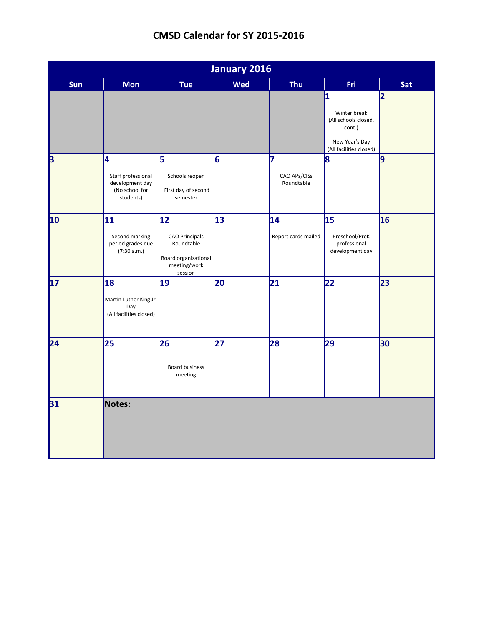|     | <b>January 2016</b>                                                       |                                                                                              |            |                                 |                                                                                                                        |                |  |  |
|-----|---------------------------------------------------------------------------|----------------------------------------------------------------------------------------------|------------|---------------------------------|------------------------------------------------------------------------------------------------------------------------|----------------|--|--|
| Sun | <b>Mon</b>                                                                | Tue                                                                                          | <b>Wed</b> | Thu                             | Fri.                                                                                                                   | Sat            |  |  |
|     |                                                                           |                                                                                              |            |                                 | $\overline{\mathbf{1}}$<br>Winter break<br>(All schools closed,<br>cont.)<br>New Year's Day<br>(All facilities closed) | $\overline{2}$ |  |  |
| 3   | 4<br>Staff professional<br>development day<br>(No school for<br>students) | 5<br>Schools reopen<br>First day of second<br>semester                                       | 6          | 7<br>CAO APs/CISs<br>Roundtable | 8                                                                                                                      | <u>lg</u>      |  |  |
| 10  | 11<br>Second marking<br>period grades due<br>(7:30 a.m.)                  | 12<br><b>CAO Principals</b><br>Roundtable<br>Board organizational<br>meeting/work<br>session | 13         | 14<br>Report cards mailed       | 15<br>Preschool/PreK<br>professional<br>development day                                                                | 16             |  |  |
| 17  | 18<br>Martin Luther King Jr.<br>Day<br>(All facilities closed)            | 19                                                                                           | 20         | 21                              | 22                                                                                                                     | 23             |  |  |
| 24  | 25                                                                        | 26<br><b>Board business</b><br>meeting                                                       | 27         | 28                              | 29                                                                                                                     | 30             |  |  |
| 31  | Notes:                                                                    |                                                                                              |            |                                 |                                                                                                                        |                |  |  |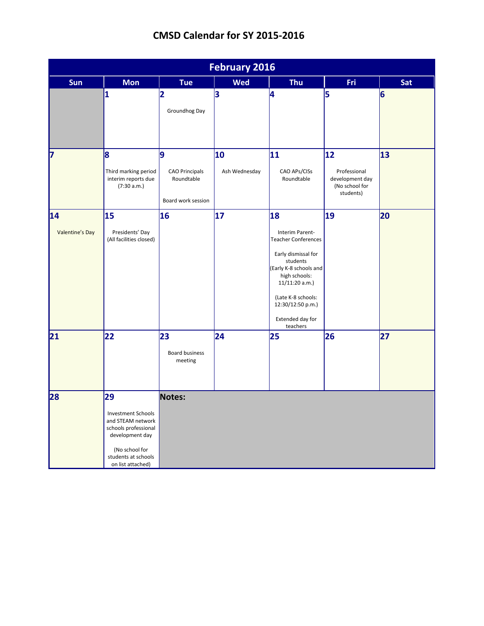|                       | <b>February 2016</b>                                                                                                                                          |                                                                |                     |                                                                                                                                                                                                                                |                                                                      |     |  |  |
|-----------------------|---------------------------------------------------------------------------------------------------------------------------------------------------------------|----------------------------------------------------------------|---------------------|--------------------------------------------------------------------------------------------------------------------------------------------------------------------------------------------------------------------------------|----------------------------------------------------------------------|-----|--|--|
| Sun                   | <b>Mon</b>                                                                                                                                                    | Tue                                                            | <b>Wed</b>          | Thu                                                                                                                                                                                                                            | Fri.                                                                 | Sat |  |  |
|                       | 1                                                                                                                                                             | 2<br>Groundhog Day                                             | 3                   | 4                                                                                                                                                                                                                              | 5                                                                    | 6   |  |  |
| 17                    | $\mathsf{B}$<br>Third marking period<br>interim reports due<br>(7:30 a.m.)                                                                                    | 9<br><b>CAO Principals</b><br>Roundtable<br>Board work session | 10<br>Ash Wednesday | 11<br>CAO APs/CISs<br>Roundtable                                                                                                                                                                                               | 12<br>Professional<br>development day<br>(No school for<br>students) | 13  |  |  |
| 14<br>Valentine's Day | 15<br>Presidents' Day<br>(All facilities closed)                                                                                                              | 16                                                             | 17                  | 18<br>Interim Parent-<br><b>Teacher Conferences</b><br>Early dismissal for<br>students<br>(Early K-8 schools and<br>high schools:<br>11/11:20 a.m.)<br>(Late K-8 schools:<br>12:30/12:50 p.m.)<br>Extended day for<br>teachers | 19                                                                   | 20  |  |  |
| 21                    | 22                                                                                                                                                            | 23<br><b>Board business</b><br>meeting                         | 24                  | 25                                                                                                                                                                                                                             | 26                                                                   | 27  |  |  |
| 28                    | 29<br><b>Investment Schools</b><br>and STEAM network<br>schools professional<br>development day<br>(No school for<br>students at schools<br>on list attached) | Notes:                                                         |                     |                                                                                                                                                                                                                                |                                                                      |     |  |  |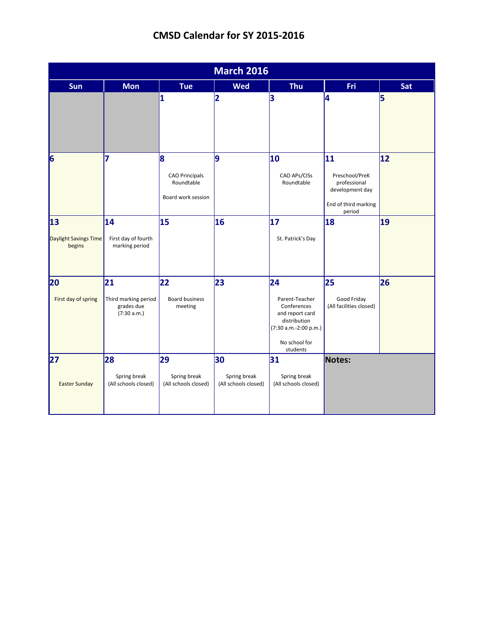|                                       | <b>March 2016</b>                                       |                                                                |                                            |                                                                                                                              |                                                                                           |              |  |  |
|---------------------------------------|---------------------------------------------------------|----------------------------------------------------------------|--------------------------------------------|------------------------------------------------------------------------------------------------------------------------------|-------------------------------------------------------------------------------------------|--------------|--|--|
| Sun                                   | <b>Mon</b>                                              | <b>Tue</b>                                                     | <b>Wed</b>                                 | Thu                                                                                                                          | <b>Fri</b>                                                                                | Sat          |  |  |
|                                       |                                                         | 1                                                              | $\overline{\mathbf{2}}$                    | 3                                                                                                                            | 4                                                                                         | 5            |  |  |
| 6                                     | 7                                                       | 8<br><b>CAO Principals</b><br>Roundtable<br>Board work session | 9                                          | 10<br>CAO APs/CISs<br>Roundtable                                                                                             | 11<br>Preschool/PreK<br>professional<br>development day<br>End of third marking<br>period | $ 12\rangle$ |  |  |
| 13<br>Daylight Savings Time<br>begins | 14<br>First day of fourth<br>marking period             | 15                                                             | 16                                         | 17 <br>St. Patrick's Day                                                                                                     | 18                                                                                        | 19           |  |  |
| 20<br>First day of spring             | 21<br>Third marking period<br>grades due<br>(7:30 a.m.) | 22<br><b>Board business</b><br>meeting                         | 23                                         | 24<br>Parent-Teacher<br>Conferences<br>and report card<br>distribution<br>(7:30 a.m.-2:00 p.m.)<br>No school for<br>students | 25<br>Good Friday<br>(All facilities closed)                                              | 26           |  |  |
| 27<br><b>Easter Sunday</b>            | 28<br>Spring break<br>(All schools closed)              | 29<br>Spring break<br>(All schools closed)                     | 30<br>Spring break<br>(All schools closed) | 31<br>Spring break<br>(All schools closed)                                                                                   | Notes:                                                                                    |              |  |  |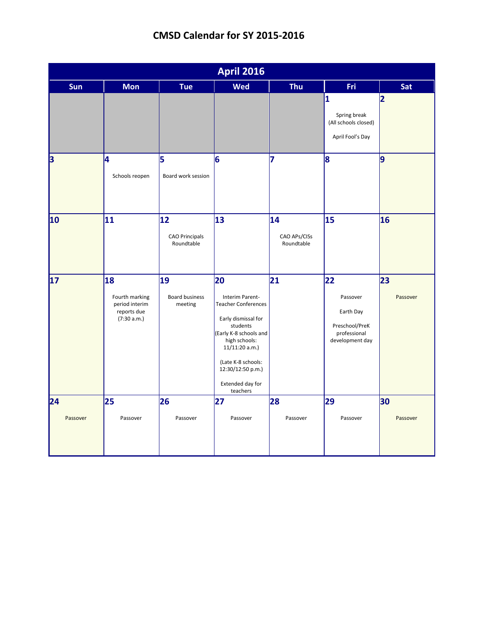|                 | <b>April 2016</b>                                                    |                                           |                                                                                                                                                                                                                                |                                  |                                                                                     |                |  |  |
|-----------------|----------------------------------------------------------------------|-------------------------------------------|--------------------------------------------------------------------------------------------------------------------------------------------------------------------------------------------------------------------------------|----------------------------------|-------------------------------------------------------------------------------------|----------------|--|--|
| Sun             | <b>Mon</b>                                                           | <b>Tue</b>                                | <b>Wed</b>                                                                                                                                                                                                                     | <b>Thu</b>                       | Fri                                                                                 | Sat            |  |  |
|                 |                                                                      |                                           |                                                                                                                                                                                                                                |                                  | $\overline{\mathbf{1}}$<br>Spring break<br>(All schools closed)<br>April Fool's Day | 2              |  |  |
| 3               | l4<br>Schools reopen                                                 | 5<br>Board work session                   | 6                                                                                                                                                                                                                              | 7                                | 8                                                                                   | l9             |  |  |
| 10              | 11                                                                   | 12<br><b>CAO Principals</b><br>Roundtable | 13                                                                                                                                                                                                                             | 14<br>CAO APs/CISs<br>Roundtable | 15                                                                                  | 16             |  |  |
| $\overline{17}$ | 18<br>Fourth marking<br>period interim<br>reports due<br>(7:30 a.m.) | 19<br><b>Board business</b><br>meeting    | 20<br>Interim Parent-<br><b>Teacher Conferences</b><br>Early dismissal for<br>students<br>(Early K-8 schools and<br>high schools:<br>11/11:20 a.m.)<br>(Late K-8 schools:<br>12:30/12:50 p.m.)<br>Extended day for<br>teachers | 21                               | 22<br>Passover<br>Earth Day<br>Preschool/PreK<br>professional<br>development day    | 23<br>Passover |  |  |
| 24<br>Passover  | 25<br>Passover                                                       | 26<br>Passover                            | 27<br>Passover                                                                                                                                                                                                                 | 28<br>Passover                   | 29<br>Passover                                                                      | 30<br>Passover |  |  |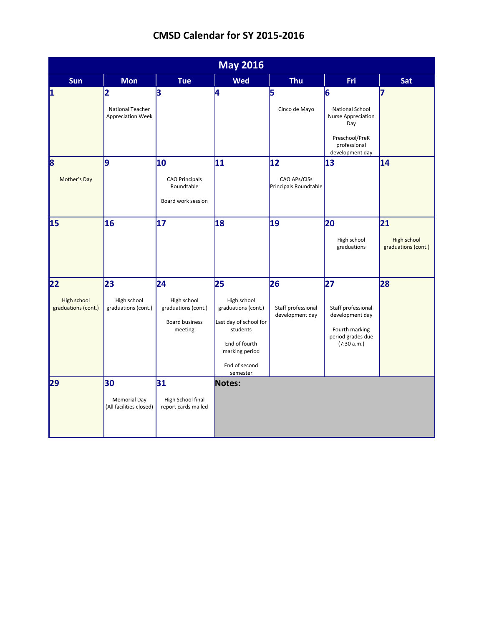|                                          | <b>May 2016</b>                                                         |                                                                       |                                                                                                                                                |                                             |                                                                                                               |                                          |  |  |
|------------------------------------------|-------------------------------------------------------------------------|-----------------------------------------------------------------------|------------------------------------------------------------------------------------------------------------------------------------------------|---------------------------------------------|---------------------------------------------------------------------------------------------------------------|------------------------------------------|--|--|
| Sun                                      | <b>Mon</b>                                                              | <b>Tue</b>                                                            | <b>Wed</b>                                                                                                                                     | <b>Thu</b>                                  | Fri                                                                                                           | Sat                                      |  |  |
| 1                                        | $\overline{\mathbf{2}}$<br>National Teacher<br><b>Appreciation Week</b> | 3                                                                     | 4                                                                                                                                              | 5<br>Cinco de Mayo                          | 6<br><b>National School</b><br>Nurse Appreciation<br>Day<br>Preschool/PreK<br>professional<br>development day | 7                                        |  |  |
| 8<br>Mother's Day                        | 9                                                                       | 10<br><b>CAO Principals</b><br>Roundtable<br>Board work session       | 11                                                                                                                                             | 12<br>CAO APs/CISs<br>Principals Roundtable | 13                                                                                                            | 14                                       |  |  |
| 15                                       | 16                                                                      | 17                                                                    | 18                                                                                                                                             | 19                                          | 20<br>High school<br>graduations                                                                              | 21<br>High school<br>graduations (cont.) |  |  |
| 22<br>High school<br>graduations (cont.) | 23<br>High school<br>graduations (cont.)                                | 24<br>High school<br>graduations (cont.)<br>Board business<br>meeting | 25<br>High school<br>graduations (cont.)<br>Last day of school for<br>students<br>End of fourth<br>marking period<br>End of second<br>semester | 26<br>Staff professional<br>development day | 27<br>Staff professional<br>development day<br>Fourth marking<br>period grades due<br>(7:30 a.m.)             | 28                                       |  |  |
| 29                                       | 30<br><b>Memorial Day</b><br>(All facilities closed)                    | 31<br>High School final<br>report cards mailed                        | Notes:                                                                                                                                         |                                             |                                                                                                               |                                          |  |  |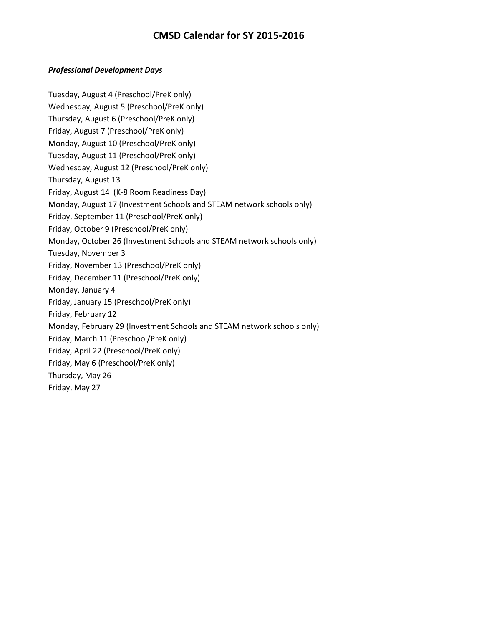### *Professional Development Days*

Tuesday, August 4 (Preschool/PreK only) Wednesday, August 5 (Preschool/PreK only) Thursday, August 6 (Preschool/PreK only) Friday, August 7 (Preschool/PreK only) Monday, August 10 (Preschool/PreK only) Tuesday, August 11 (Preschool/PreK only) Wednesday, August 12 (Preschool/PreK only) Thursday, August 13 Friday, August 14 (K-8 Room Readiness Day) Monday, August 17 (Investment Schools and STEAM network schools only) Friday, September 11 (Preschool/PreK only) Friday, October 9 (Preschool/PreK only) Monday, October 26 (Investment Schools and STEAM network schools only) Tuesday, November 3 Friday, November 13 (Preschool/PreK only) Friday, December 11 (Preschool/PreK only) Monday, January 4 Friday, January 15 (Preschool/PreK only) Friday, February 12 Monday, February 29 (Investment Schools and STEAM network schools only) Friday, March 11 (Preschool/PreK only) Friday, April 22 (Preschool/PreK only) Friday, May 6 (Preschool/PreK only) Thursday, May 26 Friday, May 27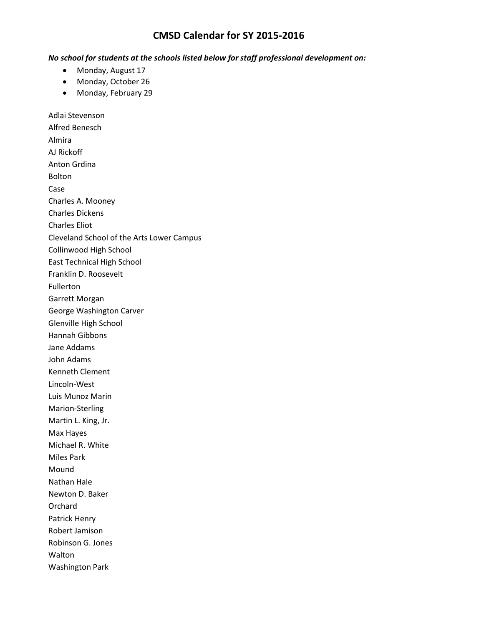#### *No school for students at the schools listed below for staff professional development on:*

- Monday, August 17
- Monday, October 26
- Monday, February 29

Adlai Stevenson Alfred Benesch Almira AJ Rickoff Anton Grdina Bolton Case Charles A. Mooney Charles Dickens Charles Eliot Cleveland School of the Arts Lower Campus Collinwood High School East Technical High School Franklin D. Roosevelt Fullerton Garrett Morgan George Washington Carver Glenville High School Hannah Gibbons Jane Addams John Adams Kenneth Clement Lincoln-West Luis Munoz Marin Marion-Sterling Martin L. King, Jr. Max Hayes Michael R. White Miles Park Mound Nathan Hale Newton D. Baker Orchard Patrick Henry Robert Jamison Robinson G. Jones **Walton** Washington Park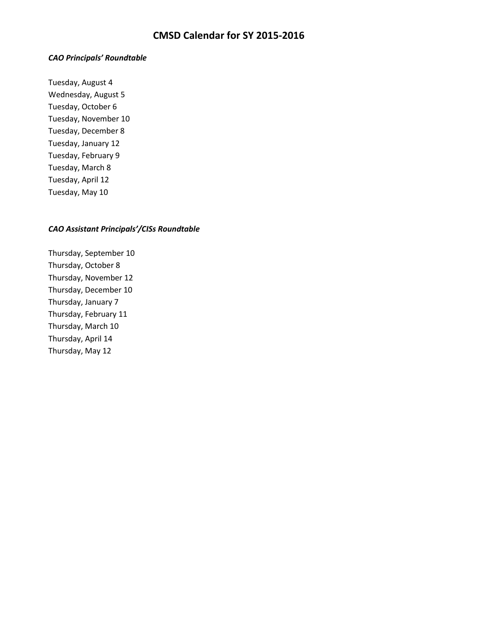#### *CAO Principals' Roundtable*

Tuesday, August 4 Wednesday, August 5 Tuesday, October 6 Tuesday, November 10 Tuesday, December 8 Tuesday, January 12 Tuesday, February 9 Tuesday, March 8 Tuesday, April 12 Tuesday, May 10

#### *CAO Assistant Principals'/CISs Roundtable*

Thursday, September 10 Thursday, October 8 Thursday, November 12 Thursday, December 10 Thursday, January 7 Thursday, February 11 Thursday, March 10 Thursday, April 14 Thursday, May 12